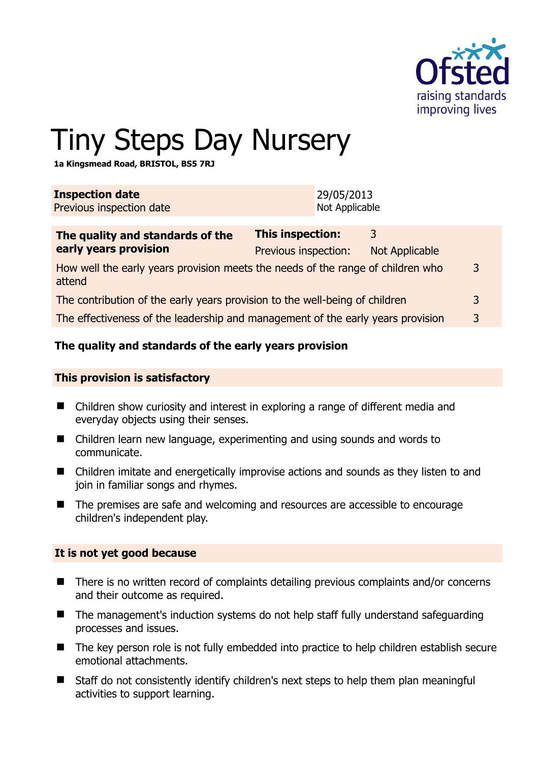

# Tiny Steps Day Nursery

**1a Kingsmead Road, BRISTOL, BS5 7RJ** 

| <b>Inspection date</b><br>Previous inspection date                                        |                                                 | 29/05/2013<br>Not Applicable |                            |   |
|-------------------------------------------------------------------------------------------|-------------------------------------------------|------------------------------|----------------------------|---|
| The quality and standards of the<br>early years provision                                 | <b>This inspection:</b><br>Previous inspection: |                              | 3<br><b>Not Applicable</b> |   |
| How well the early years provision meets the needs of the range of children who<br>attend |                                                 |                              |                            | 3 |
| The contribution of the early years provision to the well-being of children               |                                                 |                              |                            | 3 |

The effectiveness of the leadership and management of the early years provision 3

## **The quality and standards of the early years provision**

#### **This provision is satisfactory**

- Children show curiosity and interest in exploring a range of different media and everyday objects using their senses.
- Children learn new language, experimenting and using sounds and words to communicate.
- Children imitate and energetically improvise actions and sounds as they listen to and join in familiar songs and rhymes.
- The premises are safe and welcoming and resources are accessible to encourage children's independent play.

#### **It is not yet good because**

- There is no written record of complaints detailing previous complaints and/or concerns and their outcome as required.
- The management's induction systems do not help staff fully understand safeguarding processes and issues.
- The key person role is not fully embedded into practice to help children establish secure emotional attachments.
- Staff do not consistently identify children's next steps to help them plan meaningful activities to support learning.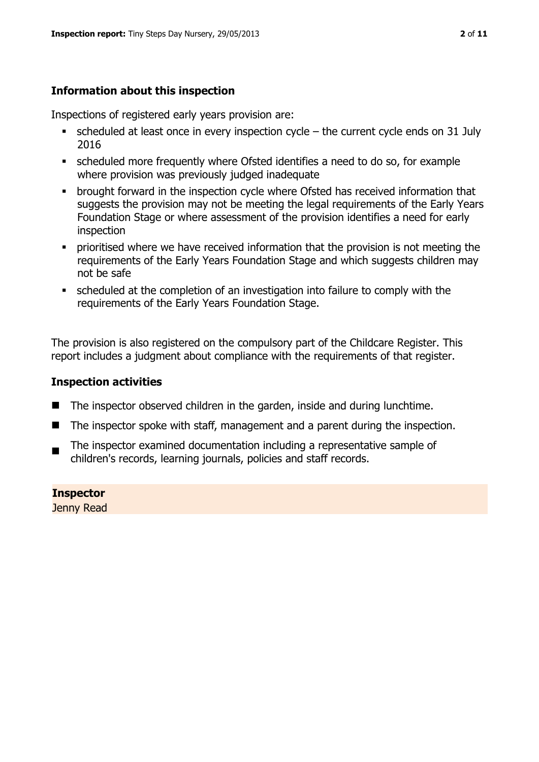# **Information about this inspection**

Inspections of registered early years provision are:

- scheduled at least once in every inspection cycle the current cycle ends on 31 July 2016
- scheduled more frequently where Ofsted identifies a need to do so, for example where provision was previously judged inadequate
- **•** brought forward in the inspection cycle where Ofsted has received information that suggests the provision may not be meeting the legal requirements of the Early Years Foundation Stage or where assessment of the provision identifies a need for early inspection
- **•** prioritised where we have received information that the provision is not meeting the requirements of the Early Years Foundation Stage and which suggests children may not be safe
- scheduled at the completion of an investigation into failure to comply with the requirements of the Early Years Foundation Stage.

The provision is also registered on the compulsory part of the Childcare Register. This report includes a judgment about compliance with the requirements of that register.

# **Inspection activities**

- The inspector observed children in the garden, inside and during lunchtime.
- The inspector spoke with staff, management and a parent during the inspection.
- $\blacksquare$ The inspector examined documentation including a representative sample of children's records, learning journals, policies and staff records.

**Inspector**  Jenny Read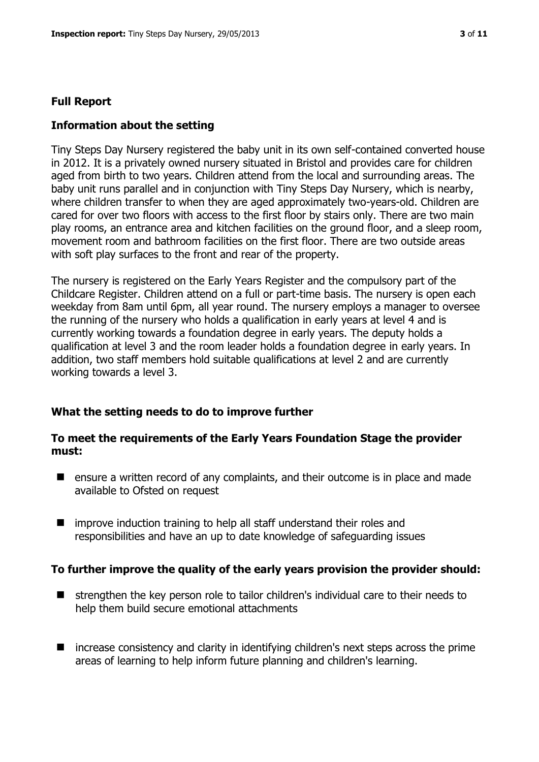### **Full Report**

### **Information about the setting**

Tiny Steps Day Nursery registered the baby unit in its own self-contained converted house in 2012. It is a privately owned nursery situated in Bristol and provides care for children aged from birth to two years. Children attend from the local and surrounding areas. The baby unit runs parallel and in conjunction with Tiny Steps Day Nursery, which is nearby, where children transfer to when they are aged approximately two-years-old. Children are cared for over two floors with access to the first floor by stairs only. There are two main play rooms, an entrance area and kitchen facilities on the ground floor, and a sleep room, movement room and bathroom facilities on the first floor. There are two outside areas with soft play surfaces to the front and rear of the property.

The nursery is registered on the Early Years Register and the compulsory part of the Childcare Register. Children attend on a full or part-time basis. The nursery is open each weekday from 8am until 6pm, all year round. The nursery employs a manager to oversee the running of the nursery who holds a qualification in early years at level 4 and is currently working towards a foundation degree in early years. The deputy holds a qualification at level 3 and the room leader holds a foundation degree in early years. In addition, two staff members hold suitable qualifications at level 2 and are currently working towards a level 3.

#### **What the setting needs to do to improve further**

#### **To meet the requirements of the Early Years Foundation Stage the provider must:**

- **E** ensure a written record of any complaints, and their outcome is in place and made available to Ofsted on request
- improve induction training to help all staff understand their roles and responsibilities and have an up to date knowledge of safeguarding issues

#### **To further improve the quality of the early years provision the provider should:**

- **E** strengthen the key person role to tailor children's individual care to their needs to help them build secure emotional attachments
- increase consistency and clarity in identifying children's next steps across the prime areas of learning to help inform future planning and children's learning.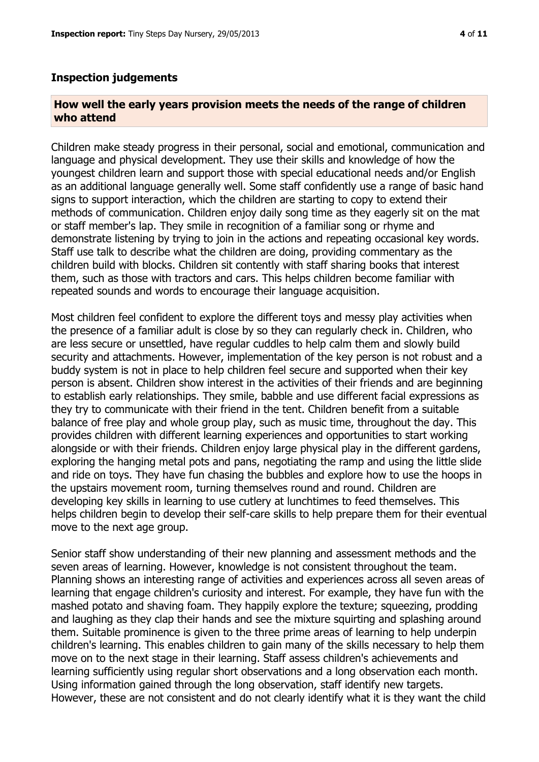#### **Inspection judgements**

#### **How well the early years provision meets the needs of the range of children who attend**

Children make steady progress in their personal, social and emotional, communication and language and physical development. They use their skills and knowledge of how the youngest children learn and support those with special educational needs and/or English as an additional language generally well. Some staff confidently use a range of basic hand signs to support interaction, which the children are starting to copy to extend their methods of communication. Children enjoy daily song time as they eagerly sit on the mat or staff member's lap. They smile in recognition of a familiar song or rhyme and demonstrate listening by trying to join in the actions and repeating occasional key words. Staff use talk to describe what the children are doing, providing commentary as the children build with blocks. Children sit contently with staff sharing books that interest them, such as those with tractors and cars. This helps children become familiar with repeated sounds and words to encourage their language acquisition.

Most children feel confident to explore the different toys and messy play activities when the presence of a familiar adult is close by so they can regularly check in. Children, who are less secure or unsettled, have regular cuddles to help calm them and slowly build security and attachments. However, implementation of the key person is not robust and a buddy system is not in place to help children feel secure and supported when their key person is absent. Children show interest in the activities of their friends and are beginning to establish early relationships. They smile, babble and use different facial expressions as they try to communicate with their friend in the tent. Children benefit from a suitable balance of free play and whole group play, such as music time, throughout the day. This provides children with different learning experiences and opportunities to start working alongside or with their friends. Children enjoy large physical play in the different gardens, exploring the hanging metal pots and pans, negotiating the ramp and using the little slide and ride on toys. They have fun chasing the bubbles and explore how to use the hoops in the upstairs movement room, turning themselves round and round. Children are developing key skills in learning to use cutlery at lunchtimes to feed themselves. This helps children begin to develop their self-care skills to help prepare them for their eventual move to the next age group.

Senior staff show understanding of their new planning and assessment methods and the seven areas of learning. However, knowledge is not consistent throughout the team. Planning shows an interesting range of activities and experiences across all seven areas of learning that engage children's curiosity and interest. For example, they have fun with the mashed potato and shaving foam. They happily explore the texture; squeezing, prodding and laughing as they clap their hands and see the mixture squirting and splashing around them. Suitable prominence is given to the three prime areas of learning to help underpin children's learning. This enables children to gain many of the skills necessary to help them move on to the next stage in their learning. Staff assess children's achievements and learning sufficiently using regular short observations and a long observation each month. Using information gained through the long observation, staff identify new targets. However, these are not consistent and do not clearly identify what it is they want the child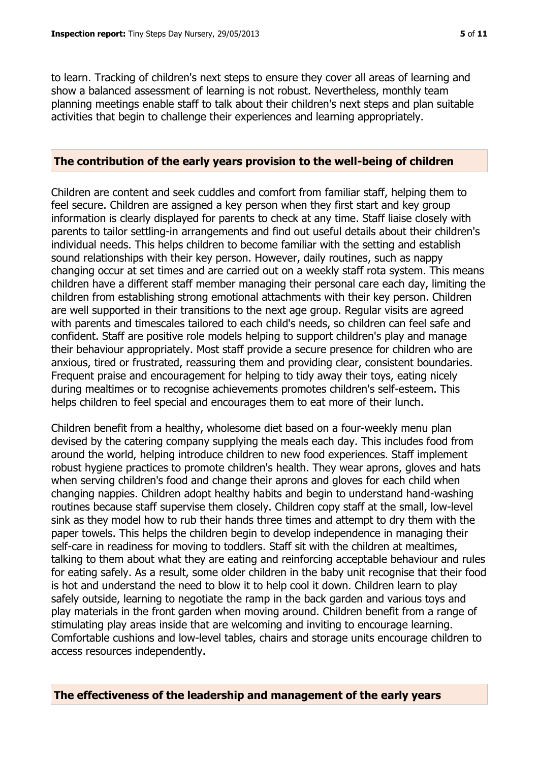to learn. Tracking of children's next steps to ensure they cover all areas of learning and show a balanced assessment of learning is not robust. Nevertheless, monthly team planning meetings enable staff to talk about their children's next steps and plan suitable activities that begin to challenge their experiences and learning appropriately.

#### **The contribution of the early years provision to the well-being of children**

Children are content and seek cuddles and comfort from familiar staff, helping them to feel secure. Children are assigned a key person when they first start and key group information is clearly displayed for parents to check at any time. Staff liaise closely with parents to tailor settling-in arrangements and find out useful details about their children's individual needs. This helps children to become familiar with the setting and establish sound relationships with their key person. However, daily routines, such as nappy changing occur at set times and are carried out on a weekly staff rota system. This means children have a different staff member managing their personal care each day, limiting the children from establishing strong emotional attachments with their key person. Children are well supported in their transitions to the next age group. Regular visits are agreed with parents and timescales tailored to each child's needs, so children can feel safe and confident. Staff are positive role models helping to support children's play and manage their behaviour appropriately. Most staff provide a secure presence for children who are anxious, tired or frustrated, reassuring them and providing clear, consistent boundaries. Frequent praise and encouragement for helping to tidy away their toys, eating nicely during mealtimes or to recognise achievements promotes children's self-esteem. This helps children to feel special and encourages them to eat more of their lunch.

Children benefit from a healthy, wholesome diet based on a four-weekly menu plan devised by the catering company supplying the meals each day. This includes food from around the world, helping introduce children to new food experiences. Staff implement robust hygiene practices to promote children's health. They wear aprons, gloves and hats when serving children's food and change their aprons and gloves for each child when changing nappies. Children adopt healthy habits and begin to understand hand-washing routines because staff supervise them closely. Children copy staff at the small, low-level sink as they model how to rub their hands three times and attempt to dry them with the paper towels. This helps the children begin to develop independence in managing their self-care in readiness for moving to toddlers. Staff sit with the children at mealtimes, talking to them about what they are eating and reinforcing acceptable behaviour and rules for eating safely. As a result, some older children in the baby unit recognise that their food is hot and understand the need to blow it to help cool it down. Children learn to play safely outside, learning to negotiate the ramp in the back garden and various toys and play materials in the front garden when moving around. Children benefit from a range of stimulating play areas inside that are welcoming and inviting to encourage learning. Comfortable cushions and low-level tables, chairs and storage units encourage children to access resources independently.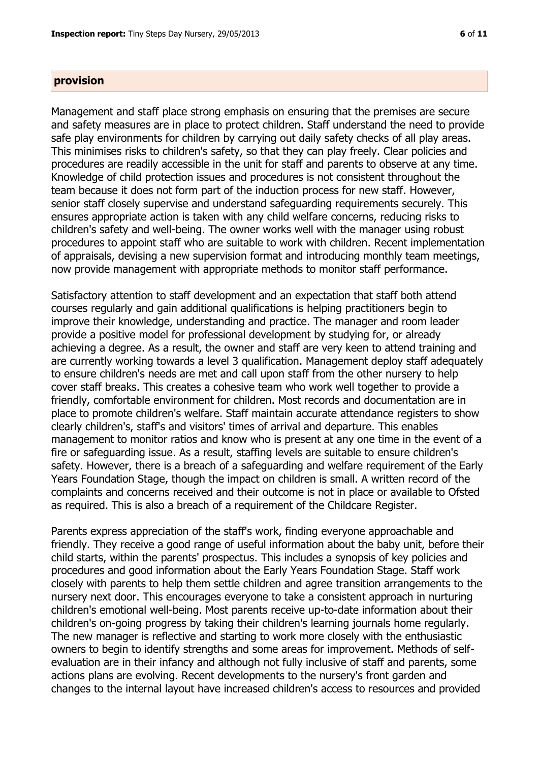#### **provision**

Management and staff place strong emphasis on ensuring that the premises are secure and safety measures are in place to protect children. Staff understand the need to provide safe play environments for children by carrying out daily safety checks of all play areas. This minimises risks to children's safety, so that they can play freely. Clear policies and procedures are readily accessible in the unit for staff and parents to observe at any time. Knowledge of child protection issues and procedures is not consistent throughout the team because it does not form part of the induction process for new staff. However, senior staff closely supervise and understand safeguarding requirements securely. This ensures appropriate action is taken with any child welfare concerns, reducing risks to children's safety and well-being. The owner works well with the manager using robust procedures to appoint staff who are suitable to work with children. Recent implementation of appraisals, devising a new supervision format and introducing monthly team meetings, now provide management with appropriate methods to monitor staff performance.

Satisfactory attention to staff development and an expectation that staff both attend courses regularly and gain additional qualifications is helping practitioners begin to improve their knowledge, understanding and practice. The manager and room leader provide a positive model for professional development by studying for, or already achieving a degree. As a result, the owner and staff are very keen to attend training and are currently working towards a level 3 qualification. Management deploy staff adequately to ensure children's needs are met and call upon staff from the other nursery to help cover staff breaks. This creates a cohesive team who work well together to provide a friendly, comfortable environment for children. Most records and documentation are in place to promote children's welfare. Staff maintain accurate attendance registers to show clearly children's, staff's and visitors' times of arrival and departure. This enables management to monitor ratios and know who is present at any one time in the event of a fire or safeguarding issue. As a result, staffing levels are suitable to ensure children's safety. However, there is a breach of a safeguarding and welfare requirement of the Early Years Foundation Stage, though the impact on children is small. A written record of the complaints and concerns received and their outcome is not in place or available to Ofsted as required. This is also a breach of a requirement of the Childcare Register.

Parents express appreciation of the staff's work, finding everyone approachable and friendly. They receive a good range of useful information about the baby unit, before their child starts, within the parents' prospectus. This includes a synopsis of key policies and procedures and good information about the Early Years Foundation Stage. Staff work closely with parents to help them settle children and agree transition arrangements to the nursery next door. This encourages everyone to take a consistent approach in nurturing children's emotional well-being. Most parents receive up-to-date information about their children's on-going progress by taking their children's learning journals home regularly. The new manager is reflective and starting to work more closely with the enthusiastic owners to begin to identify strengths and some areas for improvement. Methods of selfevaluation are in their infancy and although not fully inclusive of staff and parents, some actions plans are evolving. Recent developments to the nursery's front garden and changes to the internal layout have increased children's access to resources and provided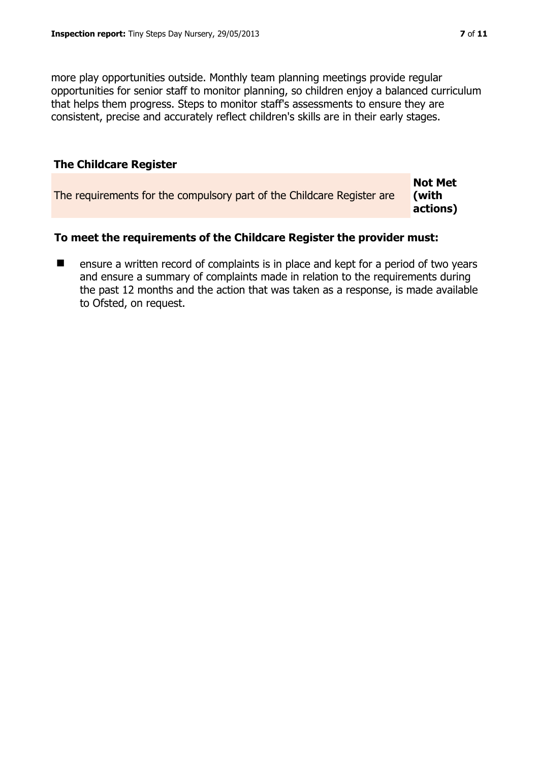more play opportunities outside. Monthly team planning meetings provide regular opportunities for senior staff to monitor planning, so children enjoy a balanced curriculum that helps them progress. Steps to monitor staff's assessments to ensure they are consistent, precise and accurately reflect children's skills are in their early stages.

# **The Childcare Register**

|                                                                        | <b>Not Met</b> |
|------------------------------------------------------------------------|----------------|
| The requirements for the compulsory part of the Childcare Register are | l (with        |
|                                                                        | actions)       |

# **To meet the requirements of the Childcare Register the provider must:**

■ ensure a written record of complaints is in place and kept for a period of two years and ensure a summary of complaints made in relation to the requirements during the past 12 months and the action that was taken as a response, is made available to Ofsted, on request.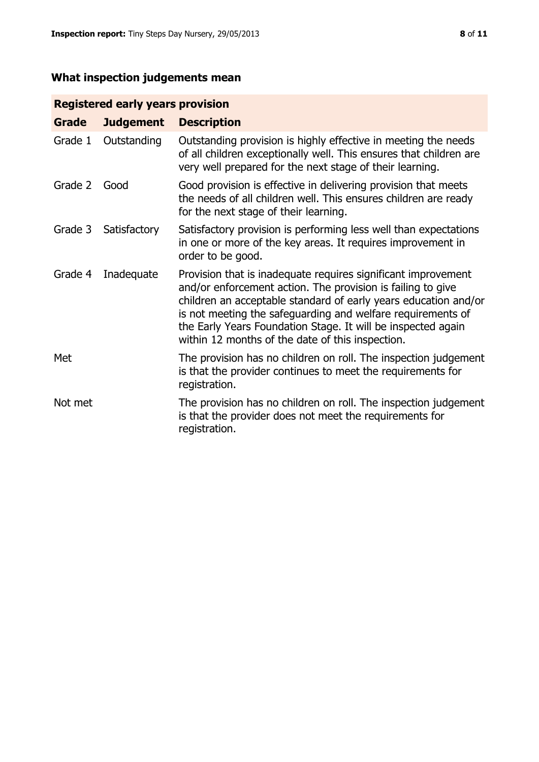# **What inspection judgements mean**

# **Registered early years provision**

| Grade   | <b>Judgement</b> | <b>Description</b>                                                                                                                                                                                                                                                                                                                                                                 |
|---------|------------------|------------------------------------------------------------------------------------------------------------------------------------------------------------------------------------------------------------------------------------------------------------------------------------------------------------------------------------------------------------------------------------|
| Grade 1 | Outstanding      | Outstanding provision is highly effective in meeting the needs<br>of all children exceptionally well. This ensures that children are<br>very well prepared for the next stage of their learning.                                                                                                                                                                                   |
| Grade 2 | Good             | Good provision is effective in delivering provision that meets<br>the needs of all children well. This ensures children are ready<br>for the next stage of their learning.                                                                                                                                                                                                         |
| Grade 3 | Satisfactory     | Satisfactory provision is performing less well than expectations<br>in one or more of the key areas. It requires improvement in<br>order to be good.                                                                                                                                                                                                                               |
| Grade 4 | Inadequate       | Provision that is inadequate requires significant improvement<br>and/or enforcement action. The provision is failing to give<br>children an acceptable standard of early years education and/or<br>is not meeting the safeguarding and welfare requirements of<br>the Early Years Foundation Stage. It will be inspected again<br>within 12 months of the date of this inspection. |
| Met     |                  | The provision has no children on roll. The inspection judgement<br>is that the provider continues to meet the requirements for<br>registration.                                                                                                                                                                                                                                    |
| Not met |                  | The provision has no children on roll. The inspection judgement<br>is that the provider does not meet the requirements for<br>registration.                                                                                                                                                                                                                                        |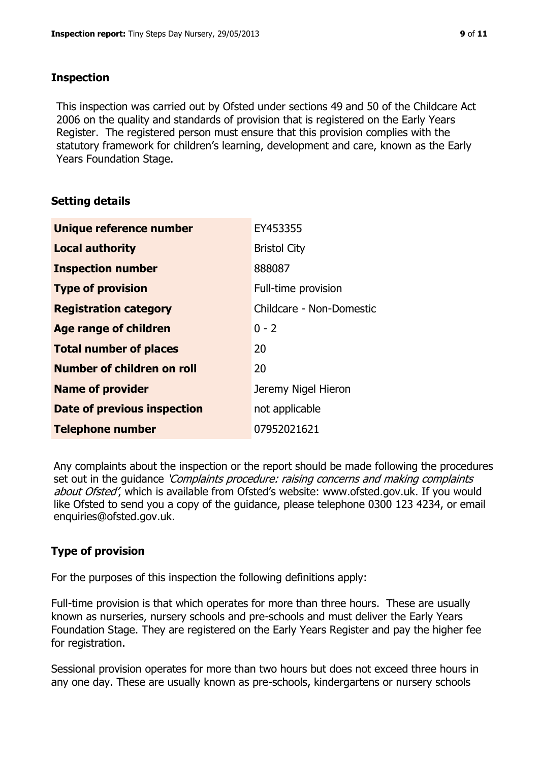## **Inspection**

This inspection was carried out by Ofsted under sections 49 and 50 of the Childcare Act 2006 on the quality and standards of provision that is registered on the Early Years Register. The registered person must ensure that this provision complies with the statutory framework for children's learning, development and care, known as the Early Years Foundation Stage.

# **Setting details**

| Unique reference number       | EY453355                 |
|-------------------------------|--------------------------|
| <b>Local authority</b>        | <b>Bristol City</b>      |
| <b>Inspection number</b>      | 888087                   |
| <b>Type of provision</b>      | Full-time provision      |
| <b>Registration category</b>  | Childcare - Non-Domestic |
| <b>Age range of children</b>  | $0 - 2$                  |
| <b>Total number of places</b> | 20                       |
| Number of children on roll    | 20                       |
| <b>Name of provider</b>       | Jeremy Nigel Hieron      |
| Date of previous inspection   | not applicable           |
| <b>Telephone number</b>       | 07952021621              |

Any complaints about the inspection or the report should be made following the procedures set out in the guidance *'Complaints procedure: raising concerns and making complaints* about Ofsted', which is available from Ofsted's website: www.ofsted.gov.uk. If you would like Ofsted to send you a copy of the guidance, please telephone 0300 123 4234, or email enquiries@ofsted.gov.uk.

# **Type of provision**

For the purposes of this inspection the following definitions apply:

Full-time provision is that which operates for more than three hours. These are usually known as nurseries, nursery schools and pre-schools and must deliver the Early Years Foundation Stage. They are registered on the Early Years Register and pay the higher fee for registration.

Sessional provision operates for more than two hours but does not exceed three hours in any one day. These are usually known as pre-schools, kindergartens or nursery schools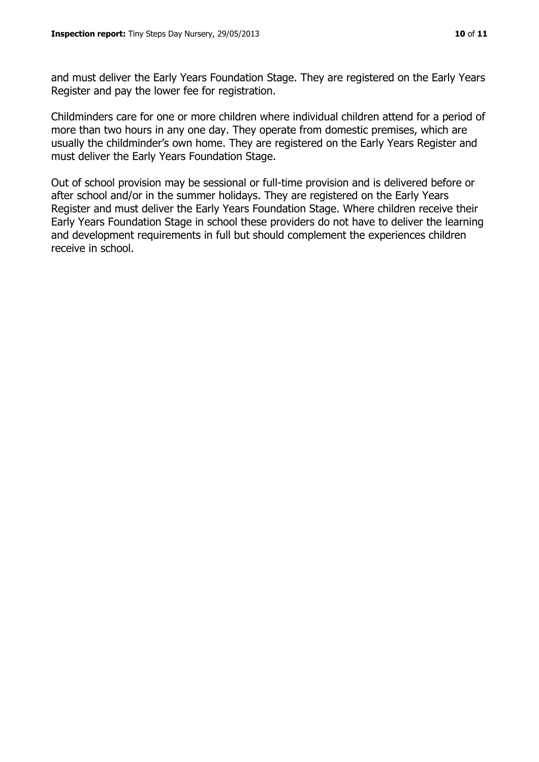and must deliver the Early Years Foundation Stage. They are registered on the Early Years Register and pay the lower fee for registration.

Childminders care for one or more children where individual children attend for a period of more than two hours in any one day. They operate from domestic premises, which are usually the childminder's own home. They are registered on the Early Years Register and must deliver the Early Years Foundation Stage.

Out of school provision may be sessional or full-time provision and is delivered before or after school and/or in the summer holidays. They are registered on the Early Years Register and must deliver the Early Years Foundation Stage. Where children receive their Early Years Foundation Stage in school these providers do not have to deliver the learning and development requirements in full but should complement the experiences children receive in school.